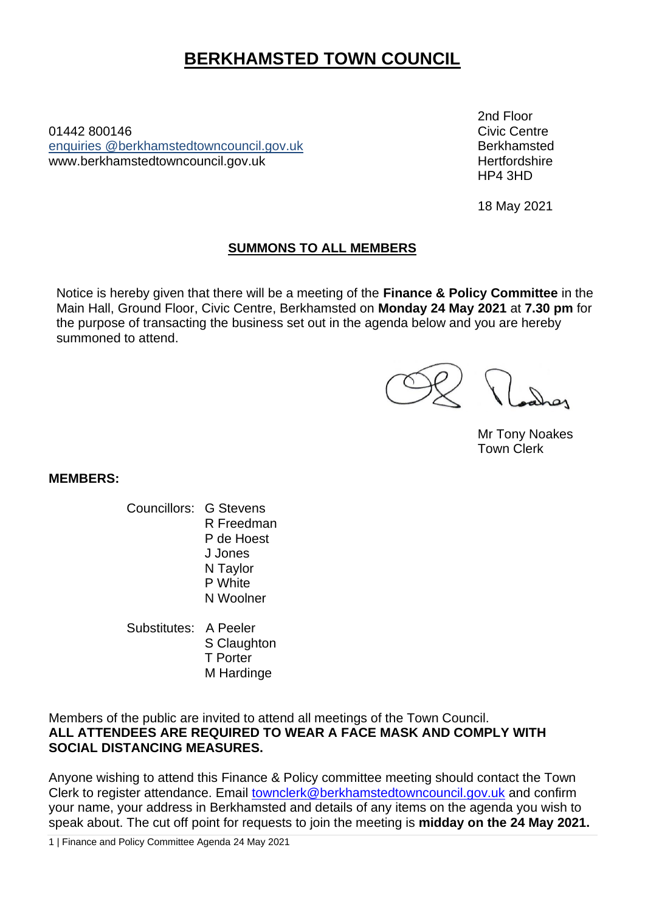# **BERKHAMSTED TOWN COUNCIL**

01442 800146Civic Centre enquiries [@berkhamstedtowncouncil.gov.uk](mailto:berkhamsted.towncouncil@dacorum.gov.uk) Berkhamsted www.berkhamstedtowncouncil.gov.uk hertfordshire

2nd Floor HP4 3HD

18 May 2021

## **SUMMONS TO ALL MEMBERS**

Notice is hereby given that there will be a meeting of the **Finance & Policy Committee** in the Main Hall, Ground Floor, Civic Centre, Berkhamsted on **Monday 24 May 2021** at **7.30 pm** for the purpose of transacting the business set out in the agenda below and you are hereby summoned to attend.

Mr Tony Noakes Town Clerk

**MEMBERS:**

- Councillors: G Stevens R Freedman P de Hoest J Jones N Taylor P White N Woolner
- Substitutes: A Peeler S Claughton T Porter M Hardinge

Members of the public are invited to attend all meetings of the Town Council. **ALL ATTENDEES ARE REQUIRED TO WEAR A FACE MASK AND COMPLY WITH SOCIAL DISTANCING MEASURES.** 

Anyone wishing to attend this Finance & Policy committee meeting should contact the Town Clerk to register attendance. Email [townclerk@berkhamstedtowncouncil.gov.uk](mailto:townclerk@berkhamstedtowncouncil.gov.uk) and confirm your name, your address in Berkhamsted and details of any items on the agenda you wish to speak about. The cut off point for requests to join the meeting is **midday on the 24 May 2021.**

1 | Finance and Policy Committee Agenda 24 May 2021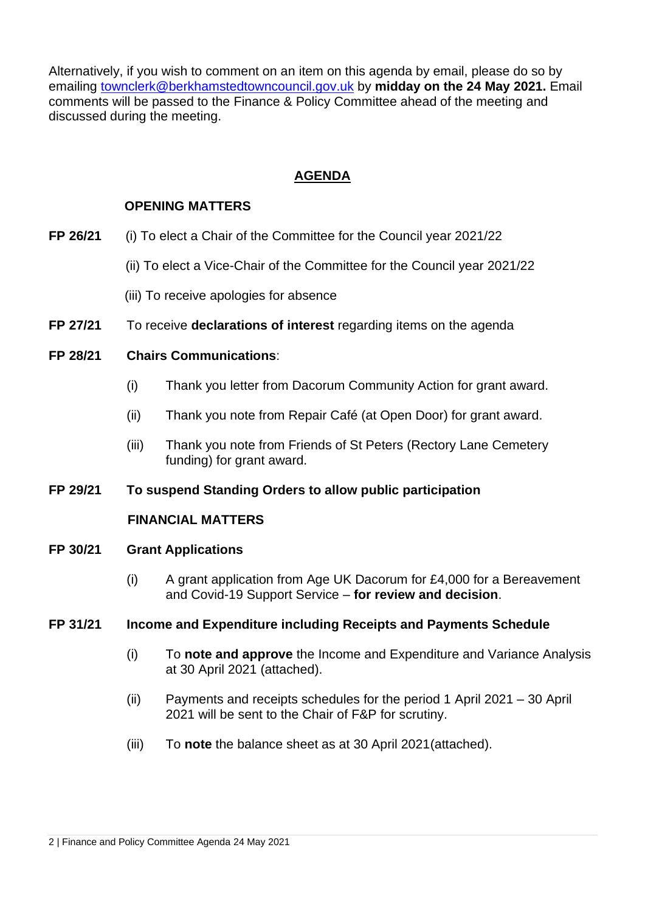Alternatively, if you wish to comment on an item on this agenda by email, please do so by emailing [townclerk@berkhamstedtowncouncil.gov.uk](mailto:townclerk@berkhamstedtowncouncil.gov.uk) by **midday on the 24 May 2021.** Email comments will be passed to the Finance & Policy Committee ahead of the meeting and discussed during the meeting.

# **AGENDA**

# **OPENING MATTERS**

- **FP 26/21** (i) To elect a Chair of the Committee for the Council year 2021/22
	- (ii) To elect a Vice-Chair of the Committee for the Council year 2021/22
	- (iii) To receive apologies for absence
- **FP 27/21** To receive **declarations of interest** regarding items on the agenda

## **FP 28/21 Chairs Communications**:

- (i) Thank you letter from Dacorum Community Action for grant award.
- (ii) Thank you note from Repair Café (at Open Door) for grant award.
- (iii) Thank you note from Friends of St Peters (Rectory Lane Cemetery funding) for grant award.

#### **FP 29/21 To suspend Standing Orders to allow public participation**

#### **FINANCIAL MATTERS**

#### **FP 30/21 Grant Applications**

(i) A grant application from Age UK Dacorum for £4,000 for a Bereavement and Covid-19 Support Service – **for review and decision**.

#### **FP 31/21 Income and Expenditure including Receipts and Payments Schedule**

- (i) To **note and approve** the Income and Expenditure and Variance Analysis at 30 April 2021 (attached).
- (ii) Payments and receipts schedules for the period 1 April 2021 30 April 2021 will be sent to the Chair of F&P for scrutiny.
- (iii) To **note** the balance sheet as at 30 April 2021(attached).